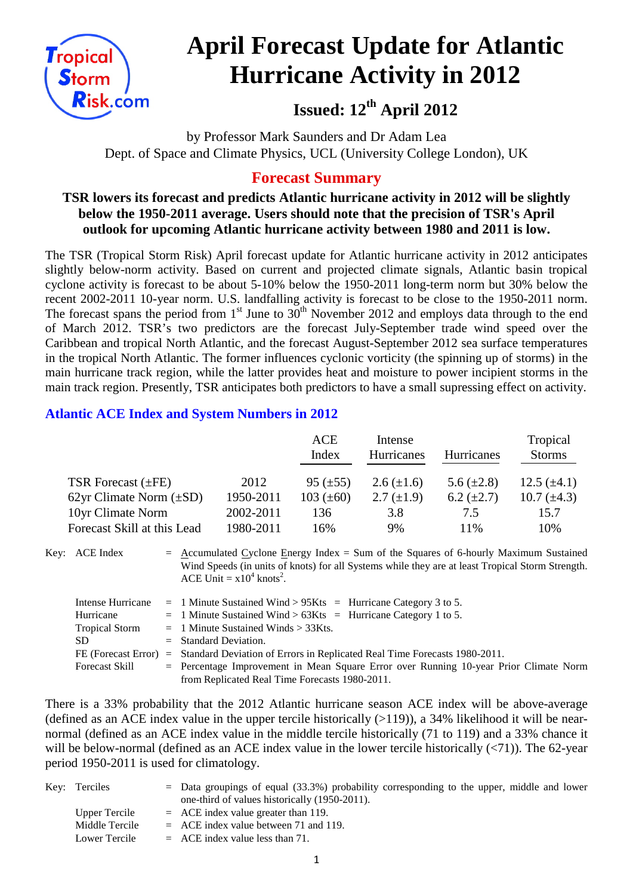

# **April Forecast Update for Atlantic Hurricane Activity in 2012**

**Issued: 12th April 2012**

by Professor Mark Saunders and Dr Adam Lea Dept. of Space and Climate Physics, UCL (University College London), UK

# **Forecast Summary**

## **TSR lowers its forecast and predicts Atlantic hurricane activity in 2012 will be slightly below the 1950-2011 average. Users should note that the precision of TSR's April outlook for upcoming Atlantic hurricane activity between 1980 and 2011 is low.**

The TSR (Tropical Storm Risk) April forecast update for Atlantic hurricane activity in 2012 anticipates slightly below-norm activity. Based on current and projected climate signals, Atlantic basin tropical cyclone activity is forecast to be about 5-10% below the 1950-2011 long-term norm but 30% below the recent 2002-2011 10-year norm. U.S. landfalling activity is forecast to be close to the 1950-2011 norm. The forecast spans the period from  $1<sup>st</sup>$  June to  $30<sup>th</sup>$  November 2012 and employs data through to the end of March 2012. TSR's two predictors are the forecast July-September trade wind speed over the Caribbean and tropical North Atlantic, and the forecast August-September 2012 sea surface temperatures in the tropical North Atlantic. The former influences cyclonic vorticity (the spinning up of storms) in the main hurricane track region, while the latter provides heat and moisture to power incipient storms in the main track region. Presently, TSR anticipates both predictors to have a small supressing effect on activity.

## **Atlantic ACE Index and System Numbers in 2012**

|                              |           | ACE             | Intense           |                   | Tropical         |
|------------------------------|-----------|-----------------|-------------------|-------------------|------------------|
|                              |           | Index           | <b>Hurricanes</b> | <b>Hurricanes</b> | <b>Storms</b>    |
|                              |           |                 |                   |                   |                  |
| TSR Forecast $(\pm FE)$      | 2012      | $95 \ (\pm 55)$ | $2.6 (\pm 1.6)$   | 5.6 $(\pm 2.8)$   | 12.5 $(\pm 4.1)$ |
| 62yr Climate Norm $(\pm SD)$ | 1950-2011 | 103 $(\pm 60)$  | $2.7 \ (\pm 1.9)$ | $6.2 \ (\pm 2.7)$ | 10.7 $(\pm 4.3)$ |
| 10yr Climate Norm            | 2002-2011 | 136             | 3.8               | 7.5               | 15.7             |
| Forecast Skill at this Lead  | 1980-2011 | 16%             | 9%                | 11%               | 10%              |

Key: ACE Index = Accumulated Cyclone Energy Index = Sum of the Squares of 6-hourly Maximum Sustained Wind Speeds (in units of knots) for all Systems while they are at least Tropical Storm Strength. ACE Unit =  $x10^4$  knots<sup>2</sup>.

|                       | Intense Hurricane $= 1$ Minute Sustained Wind > 95Kts $=$ Hurricane Category 3 to 5.    |
|-----------------------|-----------------------------------------------------------------------------------------|
| Hurricane             | $=$ 1 Minute Sustained Wind > 63Kts $=$ Hurricane Category 1 to 5.                      |
| <b>Tropical Storm</b> | $=$ 1 Minute Sustained Winds $>$ 33Kts.                                                 |
| SD.                   | $=$ Standard Deviation.                                                                 |
| FE (Forecast Error)   | $=$ Standard Deviation of Errors in Replicated Real Time Forecasts 1980-2011.           |
| Forecast Skill        | $=$ Percentage Improvement in Mean Square Error over Running 10-year Prior Climate Norm |
|                       | from Replicated Real Time Forecasts 1980-2011.                                          |

There is a 33% probability that the 2012 Atlantic hurricane season ACE index will be above-average (defined as an ACE index value in the upper tercile historically  $(>119)$ ), a 34% likelihood it will be nearnormal (defined as an ACE index value in the middle tercile historically (71 to 119) and a 33% chance it will be below-normal (defined as an ACE index value in the lower tercile historically  $(\langle 71 \rangle)$ ). The 62-year period 1950-2011 is used for climatology.

| Key: Terciles  | $=$ Data groupings of equal (33.3%) probability corresponding to the upper, middle and lower |
|----------------|----------------------------------------------------------------------------------------------|
|                | one-third of values historically (1950-2011).                                                |
| Upper Tercile  | $=$ ACE index value greater than 119.                                                        |
| Middle Tercile | $=$ ACE index value between 71 and 119.                                                      |
| Lower Tercile  | $=$ ACE index value less than 71.                                                            |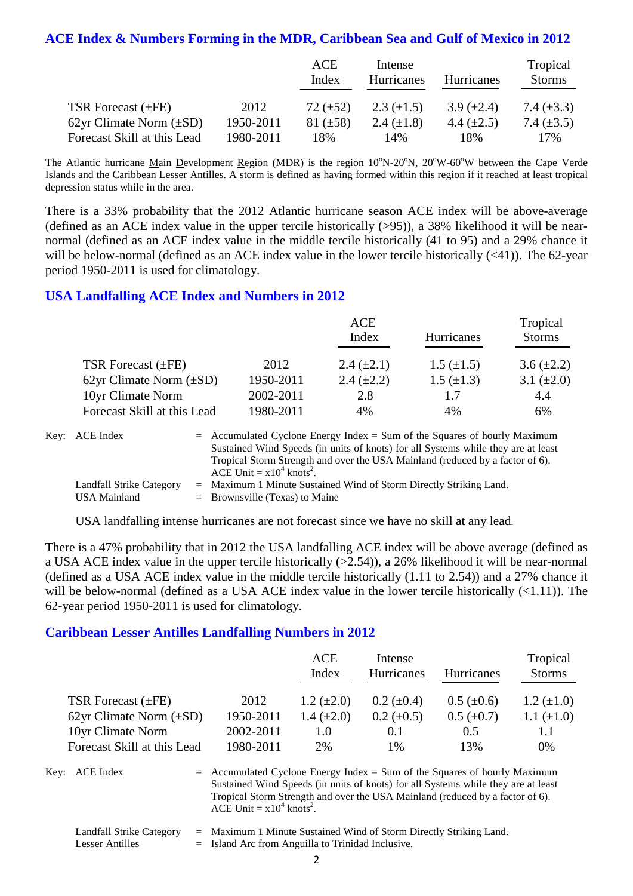# **ACE Index & Numbers Forming in the MDR, Caribbean Sea and Gulf of Mexico in 2012**

|                              |           | ACE<br>Index  | Intense<br><b>Hurricanes</b> | Hurricanes        | Tropical<br><b>Storms</b> |
|------------------------------|-----------|---------------|------------------------------|-------------------|---------------------------|
| TSR Forecast $(\pm FE)$      | 2012      | 72 $(\pm 52)$ | 2.3 $(\pm 1.5)$              | $3.9 \ (\pm 2.4)$ | 7.4 $(\pm 3.3)$           |
| 62yr Climate Norm $(\pm SD)$ | 1950-2011 | 81 $(\pm 58)$ | 2.4 $(\pm 1.8)$              | 4.4 $(\pm 2.5)$   | 7.4 $(\pm 3.5)$           |
| Forecast Skill at this Lead  | 1980-2011 | 18%           | 14%                          | 18%               | 17%                       |

The Atlantic hurricane Main Development Region (MDR) is the region 10°N-20°N, 20°W-60°W between the Cape Verde Islands and the Caribbean Lesser Antilles. A storm is defined as having formed within this region if it reached at least tropical depression status while in the area.

There is a 33% probability that the 2012 Atlantic hurricane season ACE index will be above-average (defined as an ACE index value in the upper tercile historically (>95)), a 38% likelihood it will be nearnormal (defined as an ACE index value in the middle tercile historically (41 to 95) and a 29% chance it will be below-normal (defined as an ACE index value in the lower tercile historically  $(\leq 41)$ ). The 62-year period 1950-2011 is used for climatology.

#### **USA Landfalling ACE Index and Numbers in 2012**

|                              |           | ACE               |                   | Tropical        |
|------------------------------|-----------|-------------------|-------------------|-----------------|
|                              |           | Index             | <b>Hurricanes</b> | <b>Storms</b>   |
| TSR Forecast $(\pm FE)$      | 2012      | 2.4 $(\pm 2.1)$   | $1.5 \ (\pm 1.5)$ | $3.6 (\pm 2.2)$ |
| 62yr Climate Norm $(\pm SD)$ | 1950-2011 | $2.4 \ (\pm 2.2)$ | $1.5 \ (\pm 1.3)$ | 3.1 $(\pm 2.0)$ |
| 10yr Climate Norm            | 2002-2011 | 2.8               | 1.7               | 4.4             |
| Forecast Skill at this Lead  | 1980-2011 | 4%                | 4%                | 6%              |

| Key: ACE Index                                  | $=$ Accumulated Cyclone Energy Index = Sum of the Squares of hourly Maximum<br>Sustained Wind Speeds (in units of knots) for all Systems while they are at least<br>Tropical Storm Strength and over the USA Mainland (reduced by a factor of 6).<br>ACE Unit = $x10^4$ knots <sup>2</sup> . |
|-------------------------------------------------|----------------------------------------------------------------------------------------------------------------------------------------------------------------------------------------------------------------------------------------------------------------------------------------------|
| Landfall Strike Category<br><b>USA Mainland</b> | $=$ Maximum 1 Minute Sustained Wind of Storm Directly Striking Land.<br>$=$ Brownsville (Texas) to Maine                                                                                                                                                                                     |

USA landfalling intense hurricanes are not forecast since we have no skill at any lead.

There is a 47% probability that in 2012 the USA landfalling ACE index will be above average (defined as a USA ACE index value in the upper tercile historically (>2.54)), a 26% likelihood it will be near-normal (defined as a USA ACE index value in the middle tercile historically (1.11 to 2.54)) and a 27% chance it will be below-normal (defined as a USA ACE index value in the lower tercile historically  $(\le 1.11)$ ). The 62-year period 1950-2011 is used for climatology.

#### **Caribbean Lesser Antilles Landfalling Numbers in 2012**

|                              |           | <b>ACE</b><br>Index | Intense<br>Hurricanes | <b>Hurricanes</b> | Tropical<br><b>Storms</b> |
|------------------------------|-----------|---------------------|-----------------------|-------------------|---------------------------|
| TSR Forecast $(\pm FE)$      | 2012      | 1.2 $(\pm 2.0)$     | $0.2~(\pm 0.4)$       | $0.5~(\pm 0.6)$   | 1.2 $(\pm 1.0)$           |
| 62yr Climate Norm $(\pm SD)$ | 1950-2011 | 1.4 $(\pm 2.0)$     | $0.2 \ (\pm 0.5)$     | $0.5~(\pm 0.7)$   | 1.1 $(\pm 1.0)$           |
| 10yr Climate Norm            | 2002-2011 | 1.0                 | 0.1                   | 0.5               | 1.1                       |
| Forecast Skill at this Lead  | 1980-2011 | 2%                  | $1\%$                 | 13%               | $0\%$                     |

Key:  $ACE Index = Accumulated Cyclone Energy Index = Sum of the Squares of hourly Maximum$ Sustained Wind Speeds (in units of knots) for all Systems while they are at least Tropical Storm Strength and over the USA Mainland (reduced by a factor of 6). ACE Unit =  $x10^4$  knots<sup>2</sup>.

|                 | Landfall Strike Category = Maximum 1 Minute Sustained Wind of Storm Directly Striking Land. |
|-----------------|---------------------------------------------------------------------------------------------|
| Lesser Antilles | $=$ Island Arc from Anguilla to Trinidad Inclusive.                                         |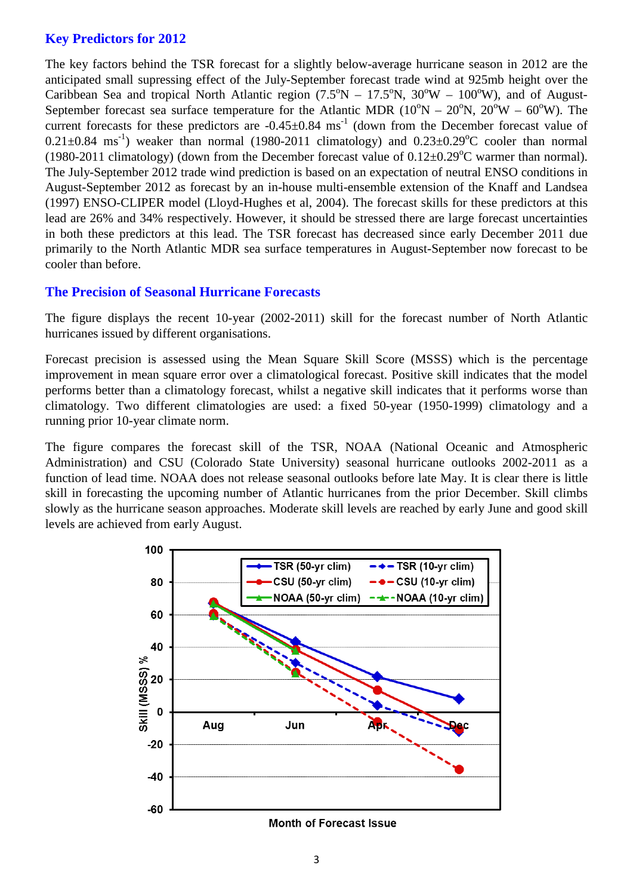## **Key Predictors for 2012**

The key factors behind the TSR forecast for a slightly below-average hurricane season in 2012 are the anticipated small supressing effect of the July-September forecast trade wind at 925mb height over the Caribbean Sea and tropical North Atlantic region  $(7.5^{\circ}N - 17.5^{\circ}N, 30^{\circ}W - 100^{\circ}W)$ , and of August-September forecast sea surface temperature for the Atlantic MDR  $(10^{\circ}N - 20^{\circ}N, 20^{\circ}W - 60^{\circ}W)$ . The current forecasts for these predictors are  $-0.45\pm0.84$  ms<sup>-1</sup> (down from the December forecast value of  $0.21 \pm 0.84$  ms<sup>-1</sup>) weaker than normal (1980-2011 climatology) and  $0.23 \pm 0.29$ °C cooler than normal (1980-2011 climatology) (down from the December forecast value of  $0.12 \pm 0.29$ °C warmer than normal). The July-September 2012 trade wind prediction is based on an expectation of neutral ENSO conditions in August-September 2012 as forecast by an in-house multi-ensemble extension of the Knaff and Landsea (1997) ENSO-CLIPER model (Lloyd-Hughes et al, 2004). The forecast skills for these predictors at this lead are 26% and 34% respectively. However, it should be stressed there are large forecast uncertainties in both these predictors at this lead. The TSR forecast has decreased since early December 2011 due primarily to the North Atlantic MDR sea surface temperatures in August-September now forecast to be cooler than before.

## **The Precision of Seasonal Hurricane Forecasts**

The figure displays the recent 10-year (2002-2011) skill for the forecast number of North Atlantic hurricanes issued by different organisations.

Forecast precision is assessed using the Mean Square Skill Score (MSSS) which is the percentage improvement in mean square error over a climatological forecast. Positive skill indicates that the model performs better than a climatology forecast, whilst a negative skill indicates that it performs worse than climatology. Two different climatologies are used: a fixed 50-year (1950-1999) climatology and a running prior 10-year climate norm.

The figure compares the forecast skill of the TSR, NOAA (National Oceanic and Atmospheric Administration) and CSU (Colorado State University) seasonal hurricane outlooks 2002-2011 as a function of lead time. NOAA does not release seasonal outlooks before late May. It is clear there is little skill in forecasting the upcoming number of Atlantic hurricanes from the prior December. Skill climbs slowly as the hurricane season approaches. Moderate skill levels are reached by early June and good skill levels are achieved from early August.

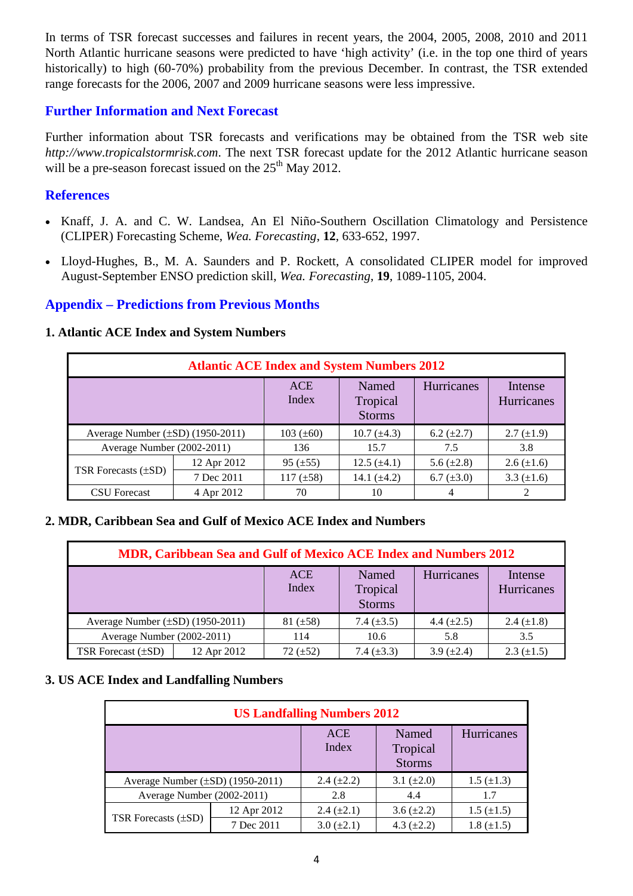In terms of TSR forecast successes and failures in recent years, the 2004, 2005, 2008, 2010 and 2011 North Atlantic hurricane seasons were predicted to have 'high activity' (i.e. in the top one third of years historically) to high (60-70%) probability from the previous December. In contrast, the TSR extended range forecasts for the 2006, 2007 and 2009 hurricane seasons were less impressive.

## **Further Information and Next Forecast**

Further information about TSR forecasts and verifications may be obtained from the TSR web site *http://www.tropicalstormrisk.com*. The next TSR forecast update for the 2012 Atlantic hurricane season will be a pre-season forecast issued on the 25<sup>th</sup> May 2012.

### **References**

- Knaff, J. A. and C. W. Landsea, An El Niño-Southern Oscillation Climatology and Persistence (CLIPER) Forecasting Scheme, *Wea. Forecasting*, **12**, 633-652, 1997.
- [Lloyd-Hughes, B., M. A. Saunders and P. Rockett, A consolidated CLIPER model for improved](http://www.tropicalstormrisk.com/docs/Lloyd-Hughesetal2004.pdf)  [August-September ENSO prediction skill,](http://www.tropicalstormrisk.com/docs/Lloyd-Hughesetal2004.pdf) *Wea. Forecasting*, **19**, 1089-1105, 2004.

# **Appendix – Predictions from Previous Months**

#### **1. Atlantic ACE Index and System Numbers**

| <b>Atlantic ACE Index and System Numbers 2012</b> |             |                |                                    |                   |                       |  |  |  |
|---------------------------------------------------|-------------|----------------|------------------------------------|-------------------|-----------------------|--|--|--|
|                                                   |             | ACE<br>Index   | Named<br>Tropical<br><b>Storms</b> | Hurricanes        | Intense<br>Hurricanes |  |  |  |
| Average Number $(\pm SD)$ (1950-2011)             |             | $103 (\pm 60)$ | $10.7 (\pm 4.3)$                   | $6.2 \ (\pm 2.7)$ | $2.7 \ (\pm 1.9)$     |  |  |  |
| Average Number (2002-2011)                        |             | 136            | 15.7                               | 7.5               | 3.8                   |  |  |  |
| TSR Forecasts $(\pm SD)$                          | 12 Apr 2012 | $95 (\pm 55)$  | $12.5 (\pm 4.1)$                   | 5.6 $(\pm 2.8)$   | $2.6 (\pm 1.6)$       |  |  |  |
|                                                   | 7 Dec 2011  | $117 (\pm 58)$ | 14.1 $(\pm 4.2)$                   | 6.7 $(\pm 3.0)$   | 3.3 $(\pm 1.6)$       |  |  |  |
| <b>CSU</b> Forecast                               | 4 Apr 2012  | 70             | 10                                 | 4                 |                       |  |  |  |

#### **2. MDR, Caribbean Sea and Gulf of Mexico ACE Index and Numbers**

| <b>MDR, Caribbean Sea and Gulf of Mexico ACE Index and Numbers 2012</b> |             |                     |                                    |                 |                       |  |  |
|-------------------------------------------------------------------------|-------------|---------------------|------------------------------------|-----------------|-----------------------|--|--|
|                                                                         |             | <b>ACE</b><br>Index | Named<br>Tropical<br><b>Storms</b> | Hurricanes      | Intense<br>Hurricanes |  |  |
| Average Number $(\pm SD)$ (1950-2011)                                   |             | $81 (\pm 58)$       | 7.4 $(\pm 3.5)$                    | 4.4 $(\pm 2.5)$ | 2.4 $(\pm 1.8)$       |  |  |
| Average Number (2002-2011)                                              |             | 114                 | 10.6                               | 5.8             | 3.5                   |  |  |
| TSR Forecast $(\pm SD)$                                                 | 12 Apr 2012 | $72 (\pm 52)$       | 7.4 $(\pm 3.3)$                    | 3.9 $(\pm 2.4)$ | $2.3 \ (\pm 1.5)$     |  |  |

#### **3. US ACE Index and Landfalling Numbers**

| <b>US Landfalling Numbers 2012</b>    |             |                     |                                    |                   |  |  |  |  |
|---------------------------------------|-------------|---------------------|------------------------------------|-------------------|--|--|--|--|
|                                       |             | <b>ACE</b><br>Index | Named<br>Tropical<br><b>Storms</b> | Hurricanes        |  |  |  |  |
| Average Number $(\pm SD)$ (1950-2011) |             | 2.4 $(\pm 2.2)$     | 3.1 $(\pm 2.0)$                    | $1.5 \ (\pm 1.3)$ |  |  |  |  |
| Average Number (2002-2011)            |             | 2.8                 | 4.4                                | 1.7               |  |  |  |  |
| TSR Forecasts $(\pm SD)$              | 12 Apr 2012 | $2.4 \ (\pm 2.1)$   | $3.6 (\pm 2.2)$                    | $1.5 \ (\pm 1.5)$ |  |  |  |  |
|                                       | 7 Dec 2011  | $3.0 (\pm 2.1)$     | 4.3 $(\pm 2.2)$                    | $1.8 (\pm 1.5)$   |  |  |  |  |